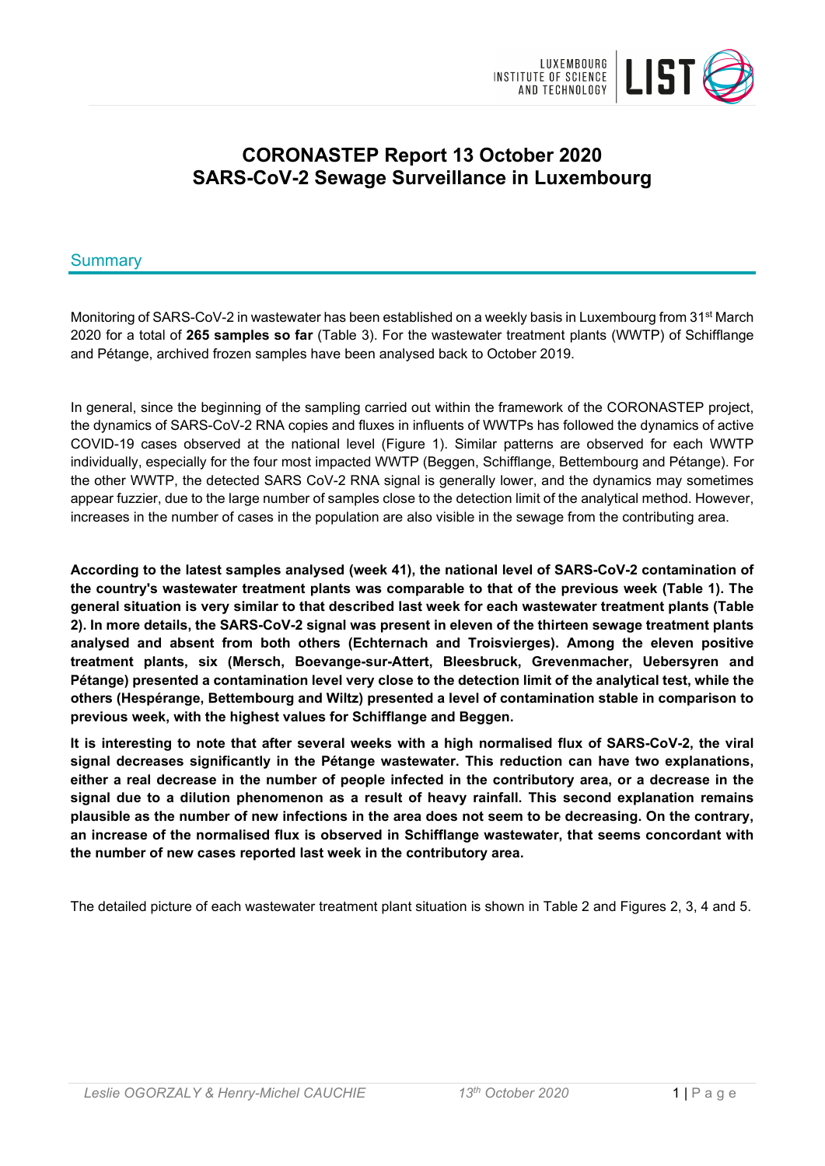

# **CORONASTEP Report 13 October 2020 SARS-CoV-2 Sewage Surveillance in Luxembourg**

# Summary

Monitoring of SARS-CoV-2 in wastewater has been established on a weekly basis in Luxembourg from 31<sup>st</sup> March 2020 for a total of **265 samples so far** (Table 3). For the wastewater treatment plants (WWTP) of Schifflange and Pétange, archived frozen samples have been analysed back to October 2019.

In general, since the beginning of the sampling carried out within the framework of the CORONASTEP project, the dynamics of SARS-CoV-2 RNA copies and fluxes in influents of WWTPs has followed the dynamics of active COVID-19 cases observed at the national level (Figure 1). Similar patterns are observed for each WWTP individually, especially for the four most impacted WWTP (Beggen, Schifflange, Bettembourg and Pétange). For the other WWTP, the detected SARS CoV-2 RNA signal is generally lower, and the dynamics may sometimes appear fuzzier, due to the large number of samples close to the detection limit of the analytical method. However, increases in the number of cases in the population are also visible in the sewage from the contributing area.

**According to the latest samples analysed (week 41), the national level of SARS-CoV-2 contamination of the country's wastewater treatment plants was comparable to that of the previous week (Table 1). The general situation is very similar to that described last week for each wastewater treatment plants (Table 2). In more details, the SARS-CoV-2 signal was present in eleven of the thirteen sewage treatment plants analysed and absent from both others (Echternach and Troisvierges). Among the eleven positive treatment plants, six (Mersch, Boevange-sur-Attert, Bleesbruck, Grevenmacher, Uebersyren and Pétange) presented a contamination level very close to the detection limit of the analytical test, while the others (Hespérange, Bettembourg and Wiltz) presented a level of contamination stable in comparison to previous week, with the highest values for Schifflange and Beggen.**

**It is interesting to note that after several weeks with a high normalised flux of SARS-CoV-2, the viral signal decreases significantly in the Pétange wastewater. This reduction can have two explanations, either a real decrease in the number of people infected in the contributory area, or a decrease in the signal due to a dilution phenomenon as a result of heavy rainfall. This second explanation remains plausible as the number of new infections in the area does not seem to be decreasing. On the contrary, an increase of the normalised flux is observed in Schifflange wastewater, that seems concordant with the number of new cases reported last week in the contributory area.**

The detailed picture of each wastewater treatment plant situation is shown in Table 2 and Figures 2, 3, 4 and 5.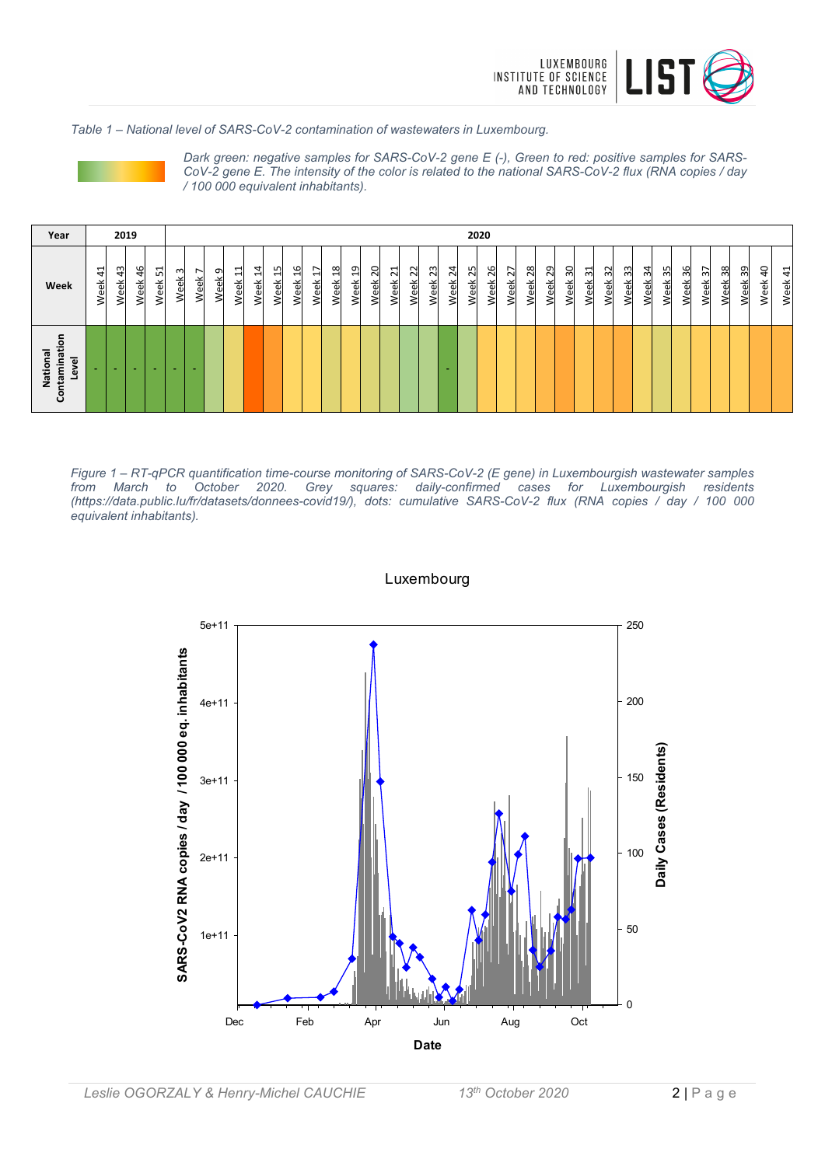

*Table 1 – National level of SARS-CoV-2 contamination of wastewaters in Luxembourg.*



*Dark green: negative samples for SARS-CoV-2 gene E (-), Green to red: positive samples for SARS-CoV-2 gene E. The intensity of the color is related to the national SARS-CoV-2 flux (RNA copies / day / 100 000 equivalent inhabitants).*

| Year                                               |                         | 2019                         |                          |            |           |           |           |                                       |                             |                                         |                                                      |           |                         |                                             |                                               |                                            |                          |                     |            |              | 2020                |                                  |                 |                     |             |                                    |                                     |             |            |            |            |                          |            |            |            |            |
|----------------------------------------------------|-------------------------|------------------------------|--------------------------|------------|-----------|-----------|-----------|---------------------------------------|-----------------------------|-----------------------------------------|------------------------------------------------------|-----------|-------------------------|---------------------------------------------|-----------------------------------------------|--------------------------------------------|--------------------------|---------------------|------------|--------------|---------------------|----------------------------------|-----------------|---------------------|-------------|------------------------------------|-------------------------------------|-------------|------------|------------|------------|--------------------------|------------|------------|------------|------------|
| Week                                               | ⊣<br>4<br>ă<br>$\omega$ | $\frac{3}{4}$<br>る<br>d<br>⋧ | $\frac{9}{5}$<br>읫<br>Š  | 12<br>Week | ന<br>Week | ∼<br>Week | G<br>Week | ↽<br>$\overline{\phantom{0}}$<br>Week | $\overline{a}$<br>⊣<br>Week | LN.<br>$\overline{\phantom{0}}$<br>Week | G<br>$\mathbf{\mathbf{\mathbf{\mathsf{H}}}}$<br>Week | ↖<br>Week | $\infty$<br>⊣<br>ě<br>3 | ᡡ<br>↽<br>$\overline{\mathbf{c}}$<br>Φ<br>≳ | $\circ$<br>$\sim$<br>$\mathbf{a}$<br><b>s</b> | ⊣<br>$\sim$<br>φŘ<br>$\mathbf \omega$<br>≷ | $\sim$<br>$\sim$<br>Week | m<br>$\sim$<br>Week | 24<br>Week | 25<br>승<br>Š | 26<br>畜<br><b>S</b> | $\overline{ }$<br>$\sim$<br>Week | $^{28}$<br>Week | ഗ<br>$\sim$<br>Week | ▭<br>ഩ<br>ě | ٣<br>$\sim$<br>$\overline{a}$<br>⋧ | $\frac{2}{3}$<br>슰<br>$\omega$<br>≷ | ೫<br>る<br>Š | 34<br>Week | 35<br>Week | 36<br>Week | $\sim$<br>$\sim$<br>Week | 38<br>Week | 39<br>Week | 40<br>Week | 41<br>Week |
| ntaminati<br>National<br>᠊ᢛ<br>><br>$\omega$<br>පි | ٠                       | $\sim$                       | $\overline{\phantom{a}}$ | -          | $\sim$    | ٠         |           |                                       |                             |                                         |                                                      |           |                         |                                             |                                               |                                            |                          |                     |            |              |                     |                                  |                 |                     |             |                                    |                                     |             |            |            |            |                          |            |            |            |            |

*Figure 1 – RT-qPCR quantification time-course monitoring of SARS-CoV-2 (E gene) in Luxembourgish wastewater samples from March to October 2020. Grey squares: daily-confirmed cases for Luxembourgish residents (https://data.public.lu/fr/datasets/donnees-covid19/), dots: cumulative SARS-CoV-2 flux (RNA copies / day / 100 000 equivalent inhabitants).*

#### Luxembourg

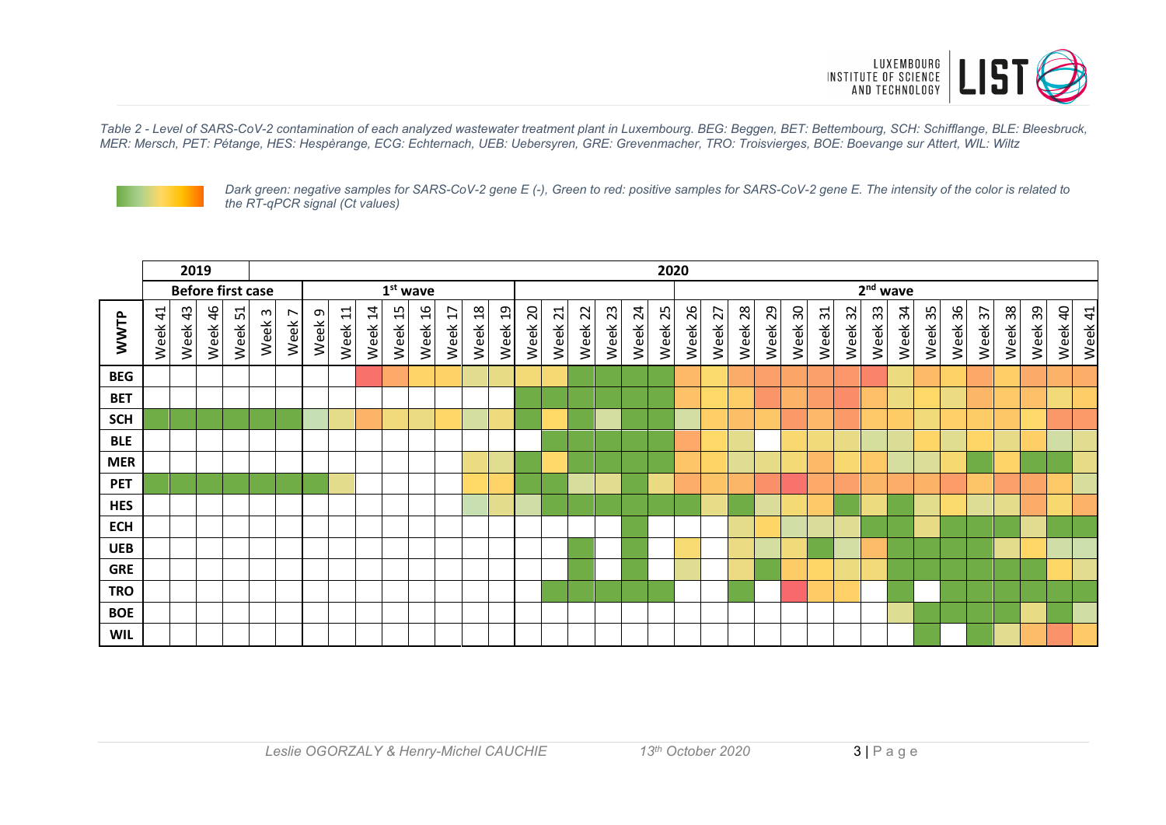

*Table 2 - Level of SARS-CoV-2 contamination of each analyzed wastewater treatment plant in Luxembourg. BEG: Beggen, BET: Bettembourg, SCH: Schifflange, BLE: Bleesbruck, MER: Mersch, PET: Pétange, HES: Hespèrange, ECG: Echternach, UEB: Uebersyren, GRE: Grevenmacher, TRO: Troisvierges, BOE: Boevange sur Attert, WIL: Wiltz*



*Dark green: negative samples for SARS-CoV-2 gene E (-), Green to red: positive samples for SARS-CoV-2 gene E. The intensity of the color is related to the RT-qPCR signal (Ct values)*

|            | 2019                   |         |                          |         |                                      |                                     | 2020        |         |         |            |                       |                                      |                        |                |            |                         |            |            |            |            |            |            |            |            |            |                       |            |            |            |            |            |                |            |            |                        |            |
|------------|------------------------|---------|--------------------------|---------|--------------------------------------|-------------------------------------|-------------|---------|---------|------------|-----------------------|--------------------------------------|------------------------|----------------|------------|-------------------------|------------|------------|------------|------------|------------|------------|------------|------------|------------|-----------------------|------------|------------|------------|------------|------------|----------------|------------|------------|------------------------|------------|
|            |                        |         | <b>Before first case</b> |         |                                      |                                     |             |         |         | $1st$ wave |                       |                                      |                        |                |            |                         |            |            |            |            |            |            |            |            |            |                       |            |            | $2nd$ wave |            |            |                |            |            |                        |            |
| WWTP       | $\overline{4}$<br>Week | Week 43 | Week 46                  | Week 51 | $\boldsymbol{\omega}$<br><b>Week</b> | $\overline{ }$<br>Week <sup>-</sup> | G<br>Week ! | Week 11 | Week 14 | Week 15    | $\frac{6}{1}$<br>Week | ∼<br>$\overline{\mathbf{t}}$<br>Week | $\frac{8}{18}$<br>Week | $^{9}$<br>Week | 20<br>Week | $\overline{21}$<br>Week | 22<br>Week | 23<br>Week | 24<br>Week | 25<br>Week | 26<br>Week | 27<br>Week | 28<br>Week | 29<br>Week | 30<br>Week | $\frac{1}{3}$<br>Week | 32<br>Week | 33<br>Week | 34<br>Week | 35<br>Week | 36<br>Week | ↖<br>m<br>Week | 38<br>Week | 39<br>Week | $\overline{a}$<br>Week | 41<br>Week |
| <b>BEG</b> |                        |         |                          |         |                                      |                                     |             |         |         |            |                       |                                      |                        |                |            |                         |            |            |            |            |            |            |            |            |            |                       |            |            |            |            |            |                |            |            |                        |            |
| <b>BET</b> |                        |         |                          |         |                                      |                                     |             |         |         |            |                       |                                      |                        |                |            |                         |            |            |            |            |            |            |            |            |            |                       |            |            |            |            |            |                |            |            |                        |            |
| <b>SCH</b> |                        |         |                          |         |                                      |                                     |             |         |         |            |                       |                                      |                        |                |            |                         |            |            |            |            |            |            |            |            |            |                       |            |            |            |            |            |                |            |            |                        |            |
| <b>BLE</b> |                        |         |                          |         |                                      |                                     |             |         |         |            |                       |                                      |                        |                |            |                         |            |            |            |            |            |            |            |            |            |                       |            |            |            |            |            |                |            |            |                        |            |
| <b>MER</b> |                        |         |                          |         |                                      |                                     |             |         |         |            |                       |                                      |                        |                |            |                         |            |            |            |            |            |            |            |            |            |                       |            |            |            |            |            |                |            |            |                        |            |
| <b>PET</b> |                        |         |                          |         |                                      |                                     |             |         |         |            |                       |                                      |                        |                |            |                         |            |            |            |            |            |            |            |            |            |                       |            |            |            |            |            |                |            |            |                        |            |
| <b>HES</b> |                        |         |                          |         |                                      |                                     |             |         |         |            |                       |                                      |                        |                |            |                         |            |            |            |            |            |            |            |            |            |                       |            |            |            |            |            |                |            |            |                        |            |
| <b>ECH</b> |                        |         |                          |         |                                      |                                     |             |         |         |            |                       |                                      |                        |                |            |                         |            |            |            |            |            |            |            |            |            |                       |            |            |            |            |            |                |            |            |                        |            |
| <b>UEB</b> |                        |         |                          |         |                                      |                                     |             |         |         |            |                       |                                      |                        |                |            |                         |            |            |            |            |            |            |            |            |            |                       |            |            |            |            |            |                |            |            |                        |            |
| <b>GRE</b> |                        |         |                          |         |                                      |                                     |             |         |         |            |                       |                                      |                        |                |            |                         |            |            |            |            |            |            |            |            |            |                       |            |            |            |            |            |                |            |            |                        |            |
| <b>TRO</b> |                        |         |                          |         |                                      |                                     |             |         |         |            |                       |                                      |                        |                |            |                         |            |            |            |            |            |            |            |            |            |                       |            |            |            |            |            |                |            |            |                        |            |
| <b>BOE</b> |                        |         |                          |         |                                      |                                     |             |         |         |            |                       |                                      |                        |                |            |                         |            |            |            |            |            |            |            |            |            |                       |            |            |            |            |            |                |            |            |                        |            |
| <b>WIL</b> |                        |         |                          |         |                                      |                                     |             |         |         |            |                       |                                      |                        |                |            |                         |            |            |            |            |            |            |            |            |            |                       |            |            |            |            |            |                |            |            |                        |            |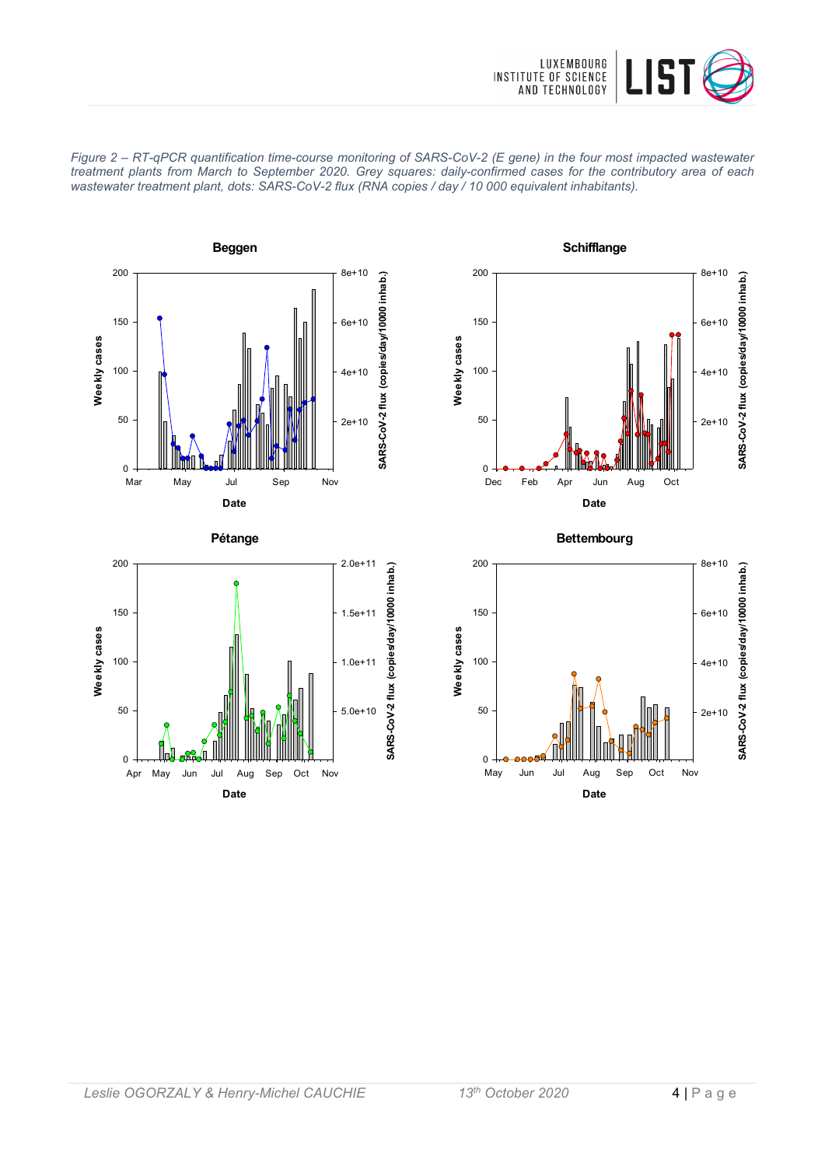









**Bettembourg**



**Date** Apr May Jun Jul Aug Sep Oct Nov

**Weekly cases**

Weekly cases

 $\Omega$ 

50

100

150

200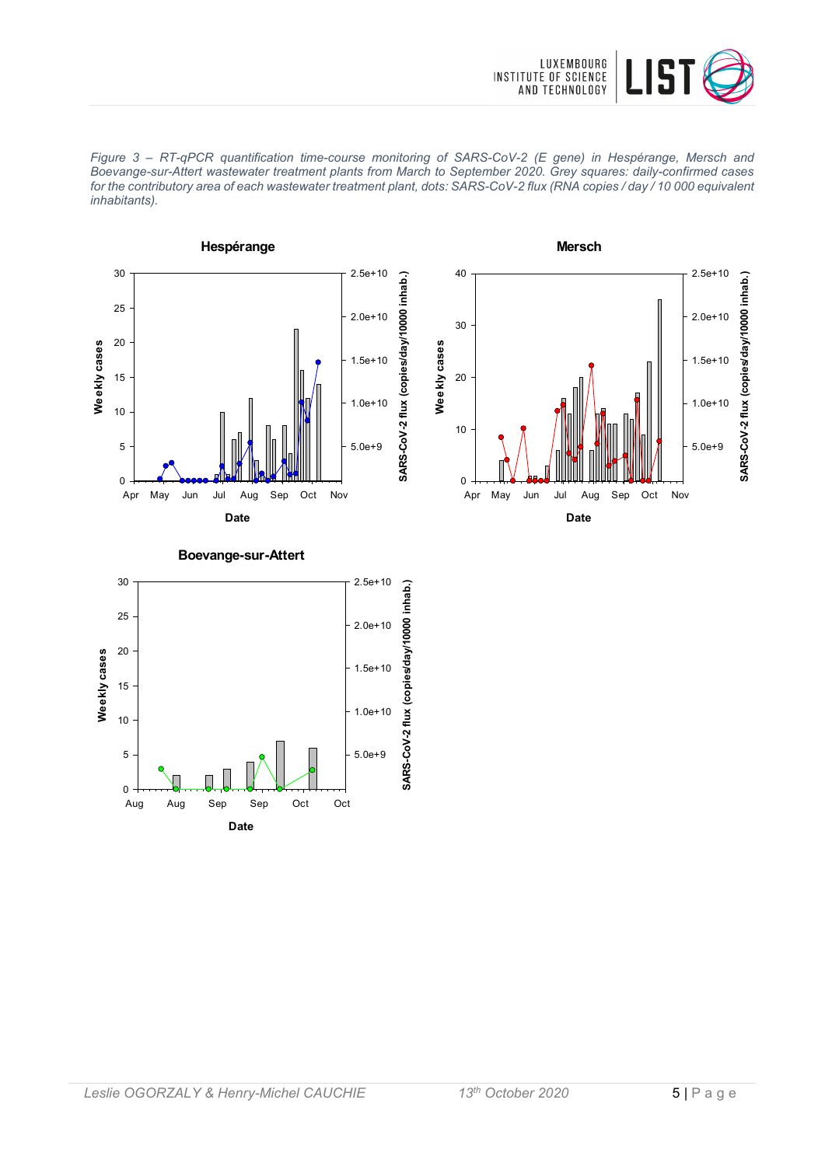







#### **Boevange-sur-Attert**

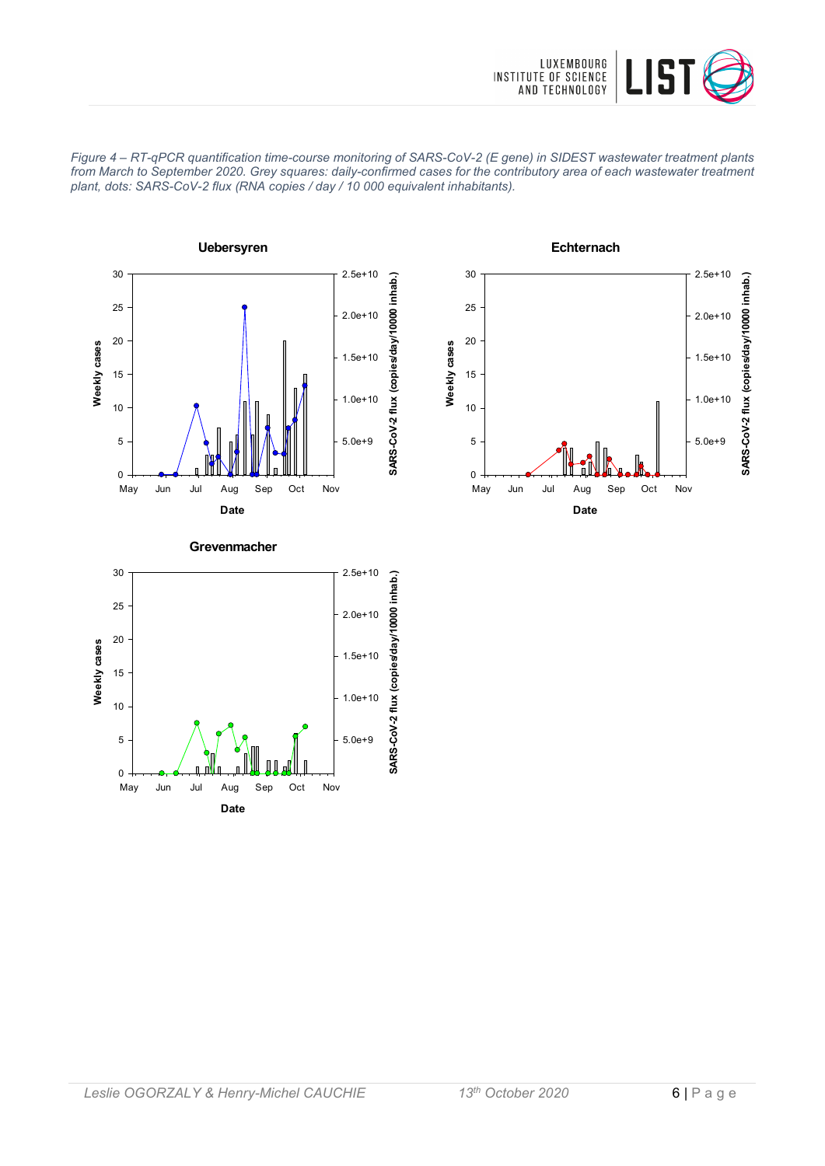









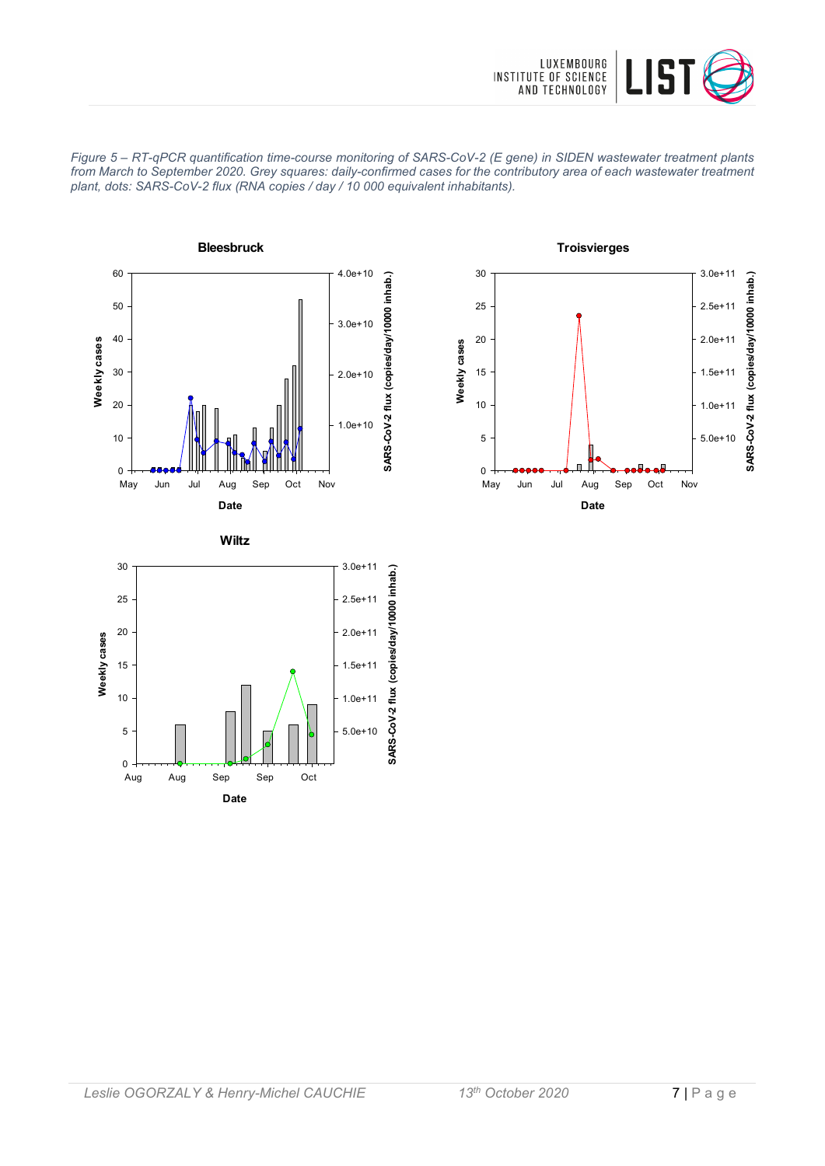







30 3.0e+11SARS-CoV-2 flux (copies/day/10000 inhab.) **SARS-CoV-2 flux (copies/day/10000 inhab.)** 25 2.5e+11 20 2.0e+11 Weekly cases **Weekly cases** 15 1.5e+11 10 1.0e+11 5.0e+10 5  $\overline{0}$ Aug Aug Sep Sep Oct **Date**

**Wiltz**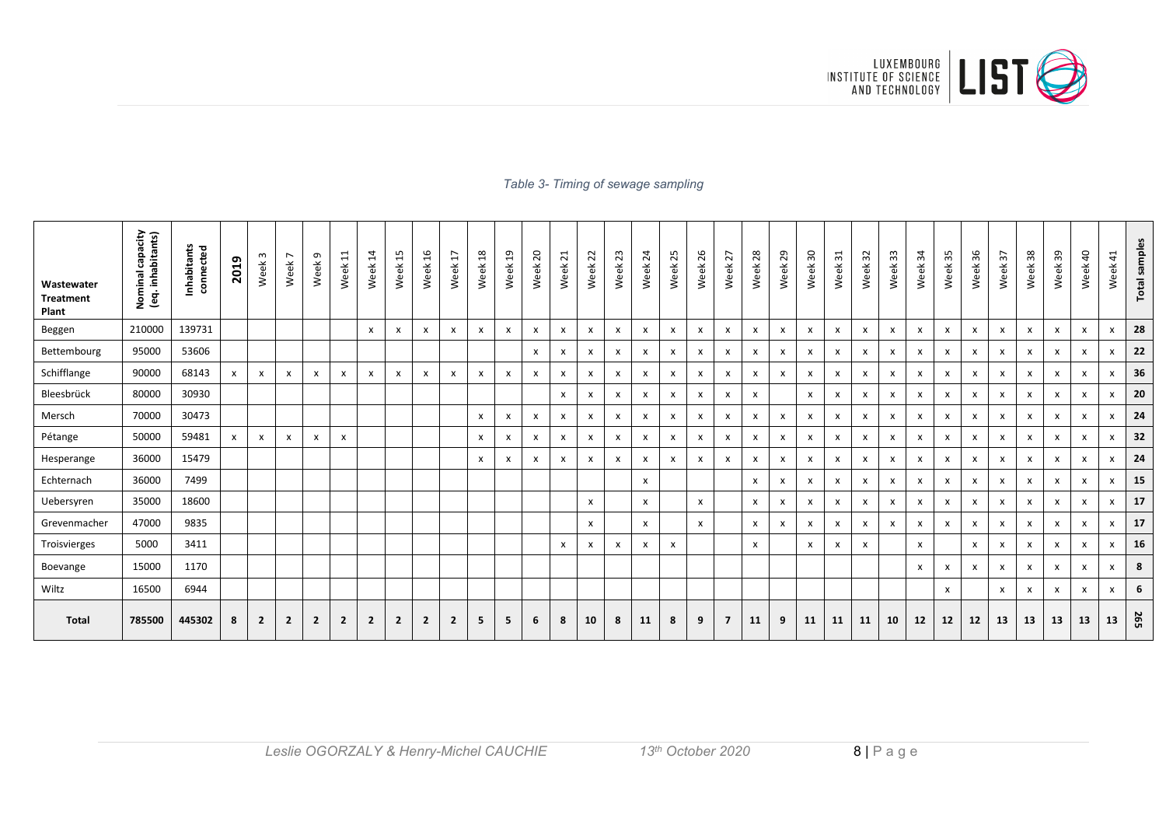

#### *Table 3- Timing of sewage sampling*

| Wastewater<br><b>Treatment</b><br>Plant | Nominal capacity<br>(eq. inhabitants)<br>Nominal | Inhabitants<br>connected | 2019 | Week <sub>3</sub> | $\overline{ }$<br>Week <sup>-</sup> | Ō<br>Week      | $\overline{\phantom{0}}$<br>$\overline{\phantom{0}}$<br>Week | $\overline{4}$<br>Week | 15<br>Week     | 9T<br>Week                | H<br>Week      | $\frac{8}{2}$<br>Week | $\mathfrak{a}$<br>Week    | $\overline{c}$<br>Week    | $\overline{z}$<br>Week    | 22<br>Week | 23<br>Week | $\overline{24}$<br>Week | 25<br>Week   | 92<br>Week   | 27<br>Week                | 28<br>Week | $_{29}$<br>Week | ႙<br>Week                 | ಸ<br>Week | $\mathfrak{L}$<br>Week    | 33<br>Week                | 54<br>Week | 55<br>Week                | 36<br>Week                | $\omega$<br>Week | 38<br>Week                | 39<br>Week   | $\overline{a}$<br>Week    | $\overline{4}$<br>Week | <b>Total samples</b> |
|-----------------------------------------|--------------------------------------------------|--------------------------|------|-------------------|-------------------------------------|----------------|--------------------------------------------------------------|------------------------|----------------|---------------------------|----------------|-----------------------|---------------------------|---------------------------|---------------------------|------------|------------|-------------------------|--------------|--------------|---------------------------|------------|-----------------|---------------------------|-----------|---------------------------|---------------------------|------------|---------------------------|---------------------------|------------------|---------------------------|--------------|---------------------------|------------------------|----------------------|
| Beggen                                  | 210000                                           | 139731                   |      |                   |                                     |                |                                                              | $\mathsf{x}$           | $\mathsf{x}$   | $\mathsf{x}$              | X              | x                     | X                         | $\boldsymbol{\mathsf{x}}$ | X                         | X          | X          | X                       | X            | X            | $\mathbf{x}$              | x          | X               | $\boldsymbol{\mathsf{x}}$ | x         | $\boldsymbol{\mathsf{x}}$ | $\boldsymbol{\mathsf{x}}$ | x          | $\mathsf{x}$              | $\boldsymbol{\mathsf{x}}$ | X                | $\boldsymbol{\mathsf{x}}$ | $\mathsf{x}$ | $\boldsymbol{\mathsf{x}}$ | x                      | 28                   |
| Bettembourg                             | 95000                                            | 53606                    |      |                   |                                     |                |                                                              |                        |                |                           |                |                       |                           | x                         | x                         | X          | x          | X                       | X            | X            | $\boldsymbol{\mathsf{x}}$ | x          | X               | X                         | x         | X                         | $\boldsymbol{\mathsf{x}}$ | x          | X                         | X                         | x                | $\boldsymbol{\mathsf{x}}$ | $\mathsf{x}$ | X                         | X                      | 22                   |
| Schifflange                             | 90000                                            | 68143                    | X    | X                 | x                                   | X              | X                                                            | X                      | x              | $\boldsymbol{\mathsf{x}}$ | X              | x                     | $\boldsymbol{\mathsf{x}}$ | x                         | x                         | X          | x          | X                       | X            | x            | X                         | x          | x               | $\boldsymbol{\mathsf{x}}$ | x         | X                         | $\boldsymbol{\mathsf{x}}$ | x          | X                         | X                         | x                | X                         | X            | X                         | x                      | 36                   |
| Bleesbrück                              | 80000                                            | 30930                    |      |                   |                                     |                |                                                              |                        |                |                           |                |                       |                           |                           | $\mathsf{x}$              | X          | x          | x                       | $\pmb{\chi}$ | X            | $\boldsymbol{\mathsf{x}}$ | x          |                 | $\boldsymbol{\mathsf{x}}$ | x         | X                         | $\boldsymbol{\mathsf{x}}$ | x          | $\boldsymbol{\mathsf{x}}$ | X                         | X                | $\boldsymbol{\mathsf{x}}$ | $\mathsf{x}$ | x                         | X                      | 20                   |
| Mersch                                  | 70000                                            | 30473                    |      |                   |                                     |                |                                                              |                        |                |                           |                | x                     | X                         | x                         | x                         | X          | x          | X                       | X            | X            | X                         | x          | x               | $\boldsymbol{\mathsf{x}}$ | x         | X                         | $\boldsymbol{\mathsf{x}}$ | x          | $\mathsf{x}$              | $\boldsymbol{\mathsf{x}}$ | x                | X                         | X            | X                         | x                      | 24                   |
| Pétange                                 | 50000                                            | 59481                    | X    | $\mathsf{x}$      | x                                   | X              | $\boldsymbol{\mathsf{x}}$                                    |                        |                |                           |                | X                     | X                         | x                         | $\boldsymbol{\mathsf{x}}$ | X          | x          | X                       | X            | X            | $\boldsymbol{\mathsf{x}}$ | x          | X               | $\boldsymbol{\mathsf{x}}$ | x         | X                         | $\boldsymbol{\mathsf{x}}$ | x          | $\mathsf{x}$              | $\boldsymbol{\mathsf{x}}$ | x                | $\boldsymbol{\mathsf{x}}$ | $\mathsf{x}$ | X                         | x                      | 32                   |
| Hesperange                              | 36000                                            | 15479                    |      |                   |                                     |                |                                                              |                        |                |                           |                | X                     | $\boldsymbol{\mathsf{x}}$ | x                         | x                         | X          | x          | x                       | $\pmb{\chi}$ | X            | $\boldsymbol{\mathsf{x}}$ | x          | X               | X                         | x         | X                         | $\boldsymbol{\mathsf{x}}$ | x          | $\boldsymbol{\mathsf{x}}$ | X                         | x                | X                         | X            | X                         | x                      | 24                   |
| Echternach                              | 36000                                            | 7499                     |      |                   |                                     |                |                                                              |                        |                |                           |                |                       |                           |                           |                           |            |            | X                       |              |              |                           | x          | x               | $\boldsymbol{\mathsf{x}}$ | x         | X                         | $\boldsymbol{\mathsf{x}}$ | x          | X                         | $\boldsymbol{\mathsf{x}}$ | X                | X                         | $\mathsf{x}$ | X                         | x                      | 15                   |
| Uebersyren                              | 35000                                            | 18600                    |      |                   |                                     |                |                                                              |                        |                |                           |                |                       |                           |                           |                           | X          |            | X                       |              | X            |                           | x          | x               | $\boldsymbol{\mathsf{x}}$ | x         | $\mathsf{x}$              | $\mathbf{x}$              | x          | X                         | $\boldsymbol{\mathsf{x}}$ | X                | X                         | $\mathsf{x}$ | X                         | x                      | 17                   |
| Grevenmacher                            | 47000                                            | 9835                     |      |                   |                                     |                |                                                              |                        |                |                           |                |                       |                           |                           |                           | X          |            | $\mathsf{x}$            |              | $\mathsf{x}$ |                           | x          | X               | $\boldsymbol{\mathsf{x}}$ | x         | X                         | $\boldsymbol{\mathsf{x}}$ | x          | $\mathsf{x}$              | $\boldsymbol{\mathsf{x}}$ | X                | $\boldsymbol{\mathsf{x}}$ | X            | $\boldsymbol{\mathsf{x}}$ | X                      | 17                   |
| Troisvierges                            | 5000                                             | 3411                     |      |                   |                                     |                |                                                              |                        |                |                           |                |                       |                           |                           | X                         | X          | x          | X                       | $\pmb{\chi}$ |              |                           | x          |                 | X                         | x         | X                         |                           | x          |                           | $\boldsymbol{\mathsf{x}}$ | X                | x                         | X            | $\boldsymbol{\mathsf{x}}$ | x                      | 16                   |
| Boevange                                | 15000                                            | 1170                     |      |                   |                                     |                |                                                              |                        |                |                           |                |                       |                           |                           |                           |            |            |                         |              |              |                           |            |                 |                           |           |                           |                           | x          | X                         | X                         | X                | $\boldsymbol{\mathsf{x}}$ | X            | X                         | x                      | 8                    |
| Wiltz                                   | 16500                                            | 6944                     |      |                   |                                     |                |                                                              |                        |                |                           |                |                       |                           |                           |                           |            |            |                         |              |              |                           |            |                 |                           |           |                           |                           |            | X                         |                           | X                | X                         | X            | x                         | x                      | 6                    |
| Total                                   | 785500                                           | 445302                   | 8    | $\overline{2}$    | $\overline{2}$                      | $\overline{2}$ | $\overline{2}$                                               | $\overline{2}$         | $\overline{2}$ | $\overline{2}$            | $\overline{2}$ | 5                     | 5                         | 6                         | 8                         | 10         | 8          | 11                      | 8            | 9            | $\overline{7}$            | 11         | 9               | 11                        | 11        | 11                        | 10                        | 12         | 12                        | 12                        | 13               | 13                        | 13           | 13                        | 13                     | <b>265</b>           |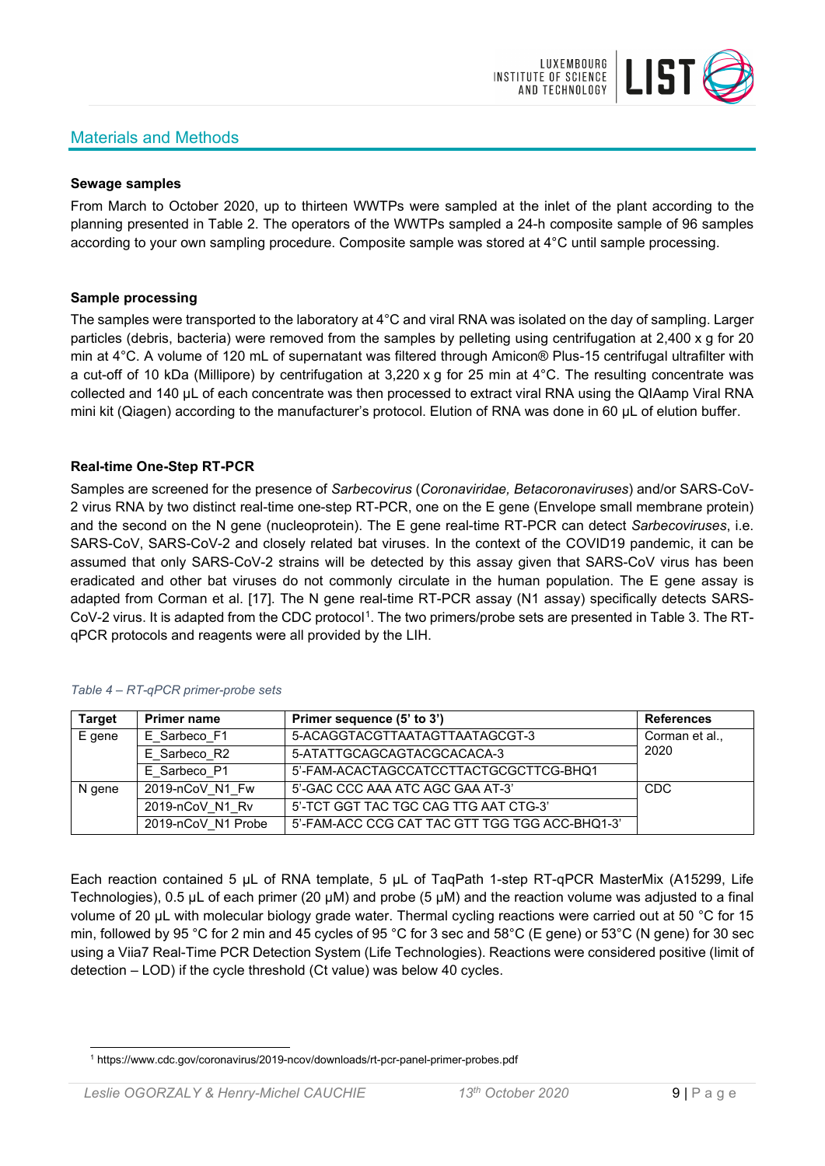# Materials and Methods



#### **Sewage samples**

From March to October 2020, up to thirteen WWTPs were sampled at the inlet of the plant according to the planning presented in Table 2. The operators of the WWTPs sampled a 24-h composite sample of 96 samples according to your own sampling procedure. Composite sample was stored at 4°C until sample processing.

#### **Sample processing**

The samples were transported to the laboratory at 4°C and viral RNA was isolated on the day of sampling. Larger particles (debris, bacteria) were removed from the samples by pelleting using centrifugation at 2,400 x g for 20 min at 4°C. A volume of 120 mL of supernatant was filtered through Amicon® Plus-15 centrifugal ultrafilter with a cut-off of 10 kDa (Millipore) by centrifugation at 3,220 x g for 25 min at 4°C. The resulting concentrate was collected and 140 µL of each concentrate was then processed to extract viral RNA using the QIAamp Viral RNA mini kit (Qiagen) according to the manufacturer's protocol. Elution of RNA was done in 60 μL of elution buffer.

## **Real-time One-Step RT-PCR**

Samples are screened for the presence of *Sarbecovirus* (*Coronaviridae, Betacoronaviruses*) and/or SARS-CoV-2 virus RNA by two distinct real-time one-step RT-PCR, one on the E gene (Envelope small membrane protein) and the second on the N gene (nucleoprotein). The E gene real-time RT-PCR can detect *Sarbecoviruses*, i.e. SARS-CoV, SARS-CoV-2 and closely related bat viruses. In the context of the COVID19 pandemic, it can be assumed that only SARS-CoV-2 strains will be detected by this assay given that SARS-CoV virus has been eradicated and other bat viruses do not commonly circulate in the human population. The E gene assay is adapted from Corman et al. [17]. The N gene real-time RT-PCR assay (N1 assay) specifically detects SARS-CoV-2 virus. It is adapted from the CDC protocol[1](#page-8-0). The two primers/probe sets are presented in Table 3. The RTqPCR protocols and reagents were all provided by the LIH.

| <b>Target</b> | <b>Primer name</b> | Primer sequence (5' to 3')                     | <b>References</b> |
|---------------|--------------------|------------------------------------------------|-------------------|
| E gene        | E Sarbeco F1       | 5-ACAGGTACGTTAATAGTTAATAGCGT-3                 | Corman et al.,    |
|               | E Sarbeco R2       | 5-ATATTGCAGCAGTACGCACACA-3                     | 2020              |
|               | E Sarbeco P1       | 5'-FAM-ACACTAGCCATCCTTACTGCGCTTCG-BHQ1         |                   |
| N gene        | 2019-nCoV N1 Fw    | 5'-GAC CCC AAA ATC AGC GAA AT-3'               | <b>CDC</b>        |
|               | 2019-nCoV N1 Rv    | 5'-TCT GGT TAC TGC CAG TTG AAT CTG-3'          |                   |
|               | 2019-nCoV N1 Probe | 5'-FAM-ACC CCG CAT TAC GTT TGG TGG ACC-BHQ1-3' |                   |

#### *Table 4 – RT-qPCR primer-probe sets*

Each reaction contained 5 μL of RNA template, 5 μL of TaqPath 1-step RT-qPCR MasterMix (A15299, Life Technologies), 0.5 µL of each primer (20 µM) and probe (5 µM) and the reaction volume was adjusted to a final volume of 20 μL with molecular biology grade water. Thermal cycling reactions were carried out at 50 °C for 15 min, followed by 95 °C for 2 min and 45 cycles of 95 °C for 3 sec and 58°C (E gene) or 53°C (N gene) for 30 sec using a Viia7 Real-Time PCR Detection System (Life Technologies). Reactions were considered positive (limit of detection – LOD) if the cycle threshold (Ct value) was below 40 cycles.

<span id="page-8-0"></span><sup>1</sup> https://www.cdc.gov/coronavirus/2019-ncov/downloads/rt-pcr-panel-primer-probes.pdf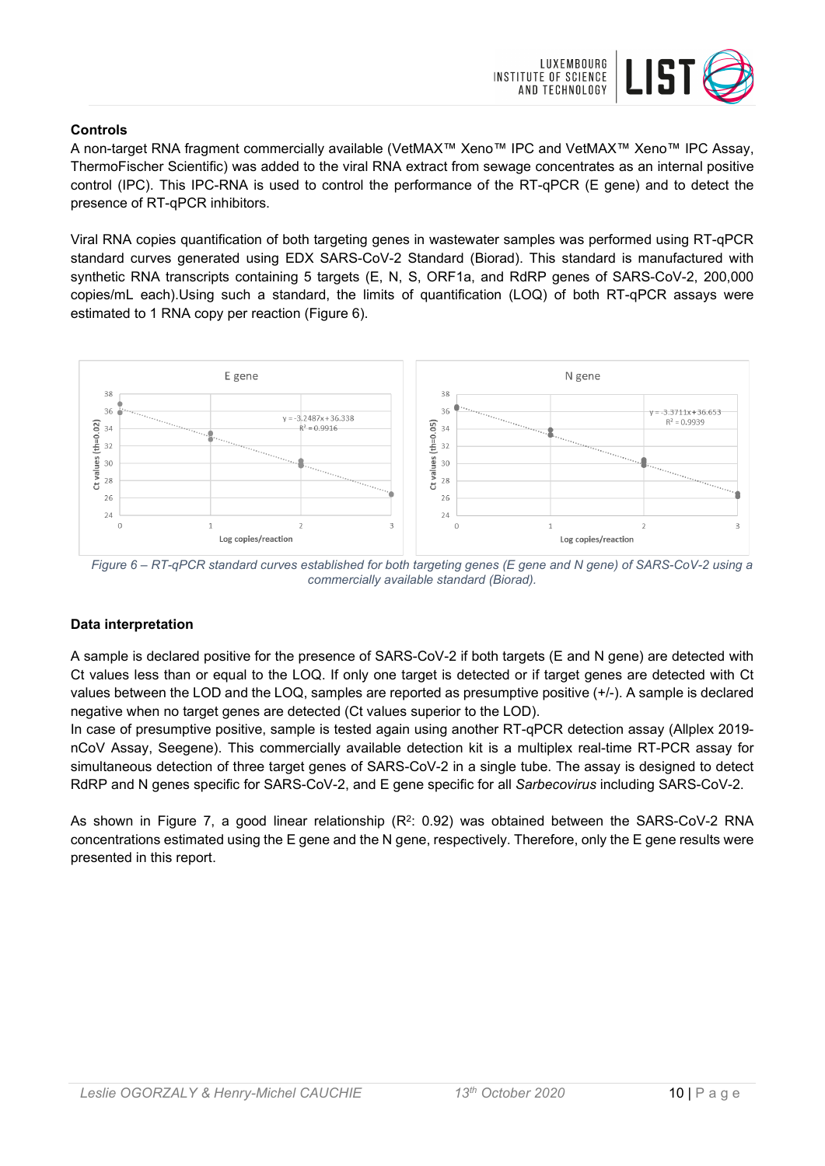

## **Controls**

A non-target RNA fragment commercially available (VetMAX™ Xeno™ IPC and VetMAX™ Xeno™ IPC Assay, ThermoFischer Scientific) was added to the viral RNA extract from sewage concentrates as an internal positive control (IPC). This IPC-RNA is used to control the performance of the RT-qPCR (E gene) and to detect the presence of RT-qPCR inhibitors.

Viral RNA copies quantification of both targeting genes in wastewater samples was performed using RT-qPCR standard curves generated using EDX SARS-CoV-2 Standard (Biorad). This standard is manufactured with synthetic RNA transcripts containing 5 targets (E, N, S, ORF1a, and RdRP genes of SARS-CoV-2, 200,000 copies/mL each).Using such a standard, the limits of quantification (LOQ) of both RT-qPCR assays were estimated to 1 RNA copy per reaction (Figure 6).



*Figure 6 – RT-qPCR standard curves established for both targeting genes (E gene and N gene) of SARS-CoV-2 using a commercially available standard (Biorad).*

## **Data interpretation**

A sample is declared positive for the presence of SARS-CoV-2 if both targets (E and N gene) are detected with Ct values less than or equal to the LOQ. If only one target is detected or if target genes are detected with Ct values between the LOD and the LOQ, samples are reported as presumptive positive (+/-). A sample is declared negative when no target genes are detected (Ct values superior to the LOD).

In case of presumptive positive, sample is tested again using another RT-qPCR detection assay (Allplex 2019 nCoV Assay, Seegene). This commercially available detection kit is a multiplex real-time RT-PCR assay for simultaneous detection of three target genes of SARS-CoV-2 in a single tube. The assay is designed to detect RdRP and N genes specific for SARS-CoV-2, and E gene specific for all *Sarbecovirus* including SARS-CoV-2.

As shown in Figure 7, a good linear relationship  $(R^2: 0.92)$  was obtained between the SARS-CoV-2 RNA concentrations estimated using the E gene and the N gene, respectively. Therefore, only the E gene results were presented in this report.